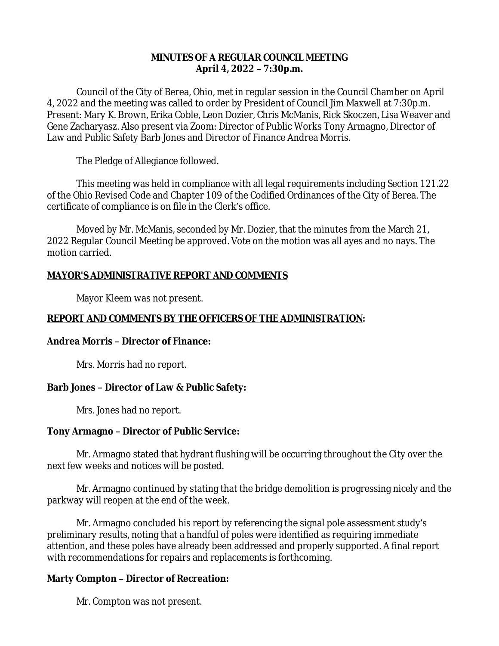## **MINUTES OF A REGULAR COUNCIL MEETING April 4, 2022 – 7:30p.m.**

Council of the City of Berea, Ohio, met in regular session in the Council Chamber on April 4, 2022 and the meeting was called to order by President of Council Jim Maxwell at 7:30p.m. Present: Mary K. Brown, Erika Coble, Leon Dozier, Chris McManis, Rick Skoczen, Lisa Weaver and Gene Zacharyasz. Also present via Zoom: Director of Public Works Tony Armagno, Director of Law and Public Safety Barb Jones and Director of Finance Andrea Morris.

The Pledge of Allegiance followed.

This meeting was held in compliance with all legal requirements including Section 121.22 of the Ohio Revised Code and Chapter 109 of the Codified Ordinances of the City of Berea. The certificate of compliance is on file in the Clerk's office.

Moved by Mr. McManis, seconded by Mr. Dozier, that the minutes from the March 21, 2022 Regular Council Meeting be approved. Vote on the motion was all ayes and no nays. The motion carried.

# **MAYOR'S ADMINISTRATIVE REPORT AND COMMENTS**

Mayor Kleem was not present.

# **REPORT AND COMMENTS BY THE OFFICERS OF THE ADMINISTRATION:**

# **Andrea Morris – Director of Finance:**

Mrs. Morris had no report.

# **Barb Jones – Director of Law & Public Safety:**

Mrs. Jones had no report.

# **Tony Armagno – Director of Public Service:**

Mr. Armagno stated that hydrant flushing will be occurring throughout the City over the next few weeks and notices will be posted.

Mr. Armagno continued by stating that the bridge demolition is progressing nicely and the parkway will reopen at the end of the week.

Mr. Armagno concluded his report by referencing the signal pole assessment study's preliminary results, noting that a handful of poles were identified as requiring immediate attention, and these poles have already been addressed and properly supported. A final report with recommendations for repairs and replacements is forthcoming.

# **Marty Compton – Director of Recreation:**

Mr. Compton was not present.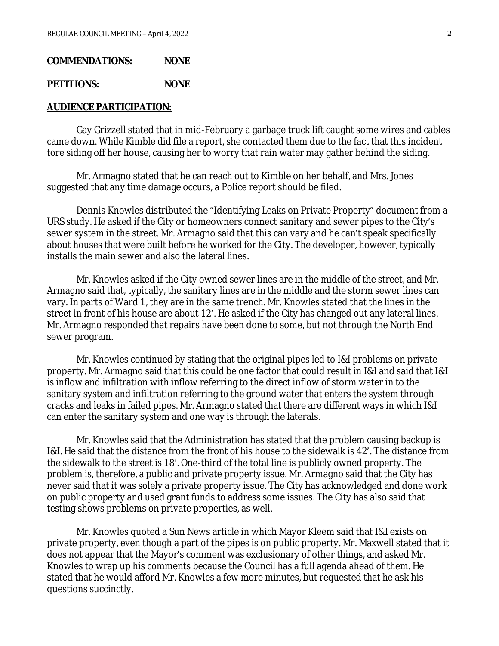#### **COMMENDATIONS: NONE**

#### **PETITIONS: NONE**

#### **AUDIENCE PARTICIPATION:**

Gay Grizzell stated that in mid-February a garbage truck lift caught some wires and cables came down. While Kimble did file a report, she contacted them due to the fact that this incident tore siding off her house, causing her to worry that rain water may gather behind the siding.

Mr. Armagno stated that he can reach out to Kimble on her behalf, and Mrs. Jones suggested that any time damage occurs, a Police report should be filed.

Dennis Knowles distributed the "Identifying Leaks on Private Property" document from a URS study. He asked if the City or homeowners connect sanitary and sewer pipes to the City's sewer system in the street. Mr. Armagno said that this can vary and he can't speak specifically about houses that were built before he worked for the City. The developer, however, typically installs the main sewer and also the lateral lines.

Mr. Knowles asked if the City owned sewer lines are in the middle of the street, and Mr. Armagno said that, typically, the sanitary lines are in the middle and the storm sewer lines can vary. In parts of Ward 1, they are in the same trench. Mr. Knowles stated that the lines in the street in front of his house are about 12'. He asked if the City has changed out any lateral lines. Mr. Armagno responded that repairs have been done to some, but not through the North End sewer program.

Mr. Knowles continued by stating that the original pipes led to I&I problems on private property. Mr. Armagno said that this could be one factor that could result in I&I and said that I&I is inflow and infiltration with inflow referring to the direct inflow of storm water in to the sanitary system and infiltration referring to the ground water that enters the system through cracks and leaks in failed pipes. Mr. Armagno stated that there are different ways in which I&I can enter the sanitary system and one way is through the laterals.

Mr. Knowles said that the Administration has stated that the problem causing backup is I&I. He said that the distance from the front of his house to the sidewalk is 42'. The distance from the sidewalk to the street is 18'. One-third of the total line is publicly owned property. The problem is, therefore, a public and private property issue. Mr. Armagno said that the City has never said that it was solely a private property issue. The City has acknowledged and done work on public property and used grant funds to address some issues. The City has also said that testing shows problems on private properties, as well.

Mr. Knowles quoted a Sun News article in which Mayor Kleem said that I&I exists on private property, even though a part of the pipes is on public property. Mr. Maxwell stated that it does not appear that the Mayor's comment was exclusionary of other things, and asked Mr. Knowles to wrap up his comments because the Council has a full agenda ahead of them. He stated that he would afford Mr. Knowles a few more minutes, but requested that he ask his questions succinctly.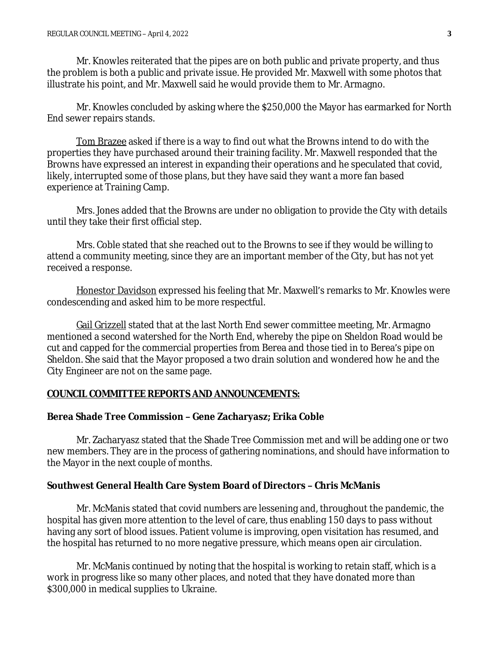Mr. Knowles reiterated that the pipes are on both public and private property, and thus the problem is both a public and private issue. He provided Mr. Maxwell with some photos that illustrate his point, and Mr. Maxwell said he would provide them to Mr. Armagno.

Mr. Knowles concluded by asking where the \$250,000 the Mayor has earmarked for North End sewer repairs stands.

Tom Brazee asked if there is a way to find out what the Browns intend to do with the properties they have purchased around their training facility. Mr. Maxwell responded that the Browns have expressed an interest in expanding their operations and he speculated that covid, likely, interrupted some of those plans, but they have said they want a more fan based experience at Training Camp.

Mrs. Jones added that the Browns are under no obligation to provide the City with details until they take their first official step.

Mrs. Coble stated that she reached out to the Browns to see if they would be willing to attend a community meeting, since they are an important member of the City, but has not yet received a response.

Honestor Davidson expressed his feeling that Mr. Maxwell's remarks to Mr. Knowles were condescending and asked him to be more respectful.

Gail Grizzell stated that at the last North End sewer committee meeting, Mr. Armagno mentioned a second watershed for the North End, whereby the pipe on Sheldon Road would be cut and capped for the commercial properties from Berea and those tied in to Berea's pipe on Sheldon. She said that the Mayor proposed a two drain solution and wondered how he and the City Engineer are not on the same page.

### **COUNCIL COMMITTEE REPORTS AND ANNOUNCEMENTS:**

### **Berea Shade Tree Commission – Gene Zacharyasz; Erika Coble**

Mr. Zacharyasz stated that the Shade Tree Commission met and will be adding one or two new members. They are in the process of gathering nominations, and should have information to the Mayor in the next couple of months.

### **Southwest General Health Care System Board of Directors – Chris McManis**

Mr. McManis stated that covid numbers are lessening and, throughout the pandemic, the hospital has given more attention to the level of care, thus enabling 150 days to pass without having any sort of blood issues. Patient volume is improving, open visitation has resumed, and the hospital has returned to no more negative pressure, which means open air circulation.

Mr. McManis continued by noting that the hospital is working to retain staff, which is a work in progress like so many other places, and noted that they have donated more than \$300,000 in medical supplies to Ukraine.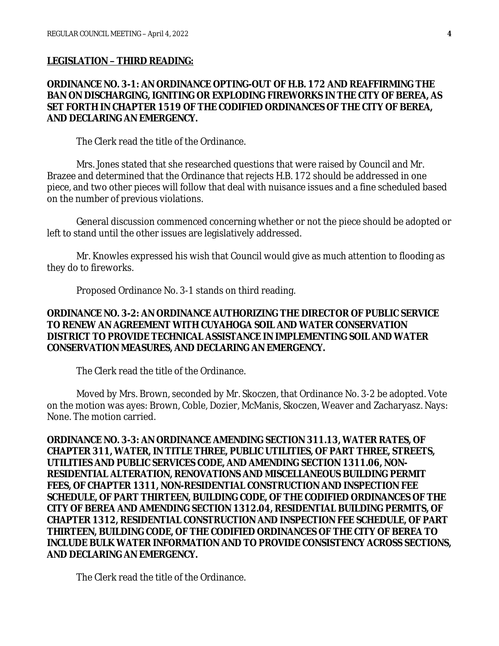#### **LEGISLATION – THIRD READING:**

## **ORDINANCE NO. 3-1: AN ORDINANCE OPTING-OUT OF H.B. 172 AND REAFFIRMING THE BAN ON DISCHARGING, IGNITING OR EXPLODING FIREWORKS IN THE CITY OF BEREA, AS SET FORTH IN CHAPTER 1519 OF THE CODIFIED ORDINANCES OF THE CITY OF BEREA, AND DECLARING AN EMERGENCY.**

The Clerk read the title of the Ordinance.

Mrs. Jones stated that she researched questions that were raised by Council and Mr. Brazee and determined that the Ordinance that rejects H.B. 172 should be addressed in one piece, and two other pieces will follow that deal with nuisance issues and a fine scheduled based on the number of previous violations.

General discussion commenced concerning whether or not the piece should be adopted or left to stand until the other issues are legislatively addressed.

Mr. Knowles expressed his wish that Council would give as much attention to flooding as they do to fireworks.

Proposed Ordinance No. 3-1 stands on third reading.

## **ORDINANCE NO. 3-2: AN ORDINANCE AUTHORIZING THE DIRECTOR OF PUBLIC SERVICE TO RENEW AN AGREEMENT WITH CUYAHOGA SOIL AND WATER CONSERVATION DISTRICT TO PROVIDE TECHNICAL ASSISTANCE IN IMPLEMENTING SOIL AND WATER CONSERVATION MEASURES, AND DECLARING AN EMERGENCY.**

The Clerk read the title of the Ordinance.

Moved by Mrs. Brown, seconded by Mr. Skoczen, that Ordinance No. 3-2 be adopted. Vote on the motion was ayes: Brown, Coble, Dozier, McManis, Skoczen, Weaver and Zacharyasz. Nays: None. The motion carried.

**ORDINANCE NO. 3-3: AN ORDINANCE AMENDING SECTION 311.13, WATER RATES, OF CHAPTER 311, WATER, IN TITLE THREE, PUBLIC UTILITIES, OF PART THREE, STREETS, UTILITIES AND PUBLIC SERVICES CODE, AND AMENDING SECTION 1311.06, NON-RESIDENTIAL ALTERATION, RENOVATIONS AND MISCELLANEOUS BUILDING PERMIT FEES, OF CHAPTER 1311, NON-RESIDENTIAL CONSTRUCTION AND INSPECTION FEE SCHEDULE, OF PART THIRTEEN, BUILDING CODE, OF THE CODIFIED ORDINANCES OF THE CITY OF BEREA AND AMENDING SECTION 1312.04, RESIDENTIAL BUILDING PERMITS, OF CHAPTER 1312, RESIDENTIAL CONSTRUCTION AND INSPECTION FEE SCHEDULE, OF PART THIRTEEN, BUILDING CODE, OF THE CODIFIED ORDINANCES OF THE CITY OF BEREA TO INCLUDE BULK WATER INFORMATION AND TO PROVIDE CONSISTENCY ACROSS SECTIONS, AND DECLARING AN EMERGENCY.**

The Clerk read the title of the Ordinance.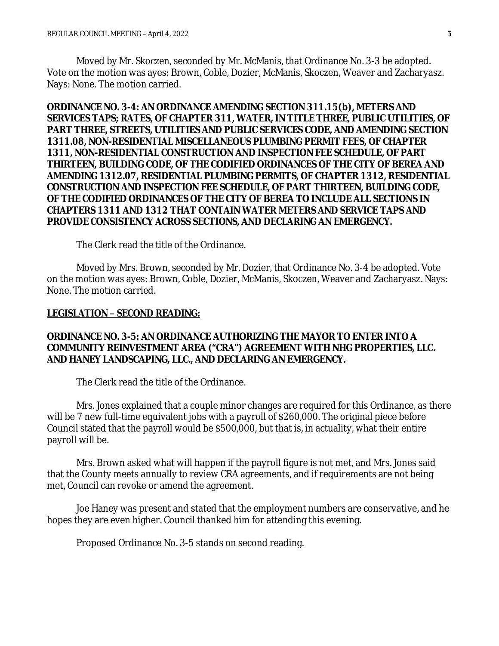Moved by Mr. Skoczen, seconded by Mr. McManis, that Ordinance No. 3-3 be adopted. Vote on the motion was ayes: Brown, Coble, Dozier, McManis, Skoczen, Weaver and Zacharyasz. Nays: None. The motion carried.

**ORDINANCE NO. 3-4: AN ORDINANCE AMENDING SECTION 311.15(b), METERS AND SERVICES TAPS; RATES, OF CHAPTER 311, WATER, IN TITLE THREE, PUBLIC UTILITIES, OF PART THREE, STREETS, UTILITIES AND PUBLIC SERVICES CODE, AND AMENDING SECTION 1311.08, NON-RESIDENTIAL MISCELLANEOUS PLUMBING PERMIT FEES, OF CHAPTER 1311, NON-RESIDENTIAL CONSTRUCTION AND INSPECTION FEE SCHEDULE, OF PART THIRTEEN, BUILDING CODE, OF THE CODIFIED ORDINANCES OF THE CITY OF BEREA AND AMENDING 1312.07, RESIDENTIAL PLUMBING PERMITS, OF CHAPTER 1312, RESIDENTIAL CONSTRUCTION AND INSPECTION FEE SCHEDULE, OF PART THIRTEEN, BUILDING CODE, OF THE CODIFIED ORDINANCES OF THE CITY OF BEREA TO INCLUDE ALL SECTIONS IN CHAPTERS 1311 AND 1312 THAT CONTAIN WATER METERS AND SERVICE TAPS AND PROVIDE CONSISTENCY ACROSS SECTIONS, AND DECLARING AN EMERGENCY.**

The Clerk read the title of the Ordinance.

Moved by Mrs. Brown, seconded by Mr. Dozier, that Ordinance No. 3-4 be adopted. Vote on the motion was ayes: Brown, Coble, Dozier, McManis, Skoczen, Weaver and Zacharyasz. Nays: None. The motion carried.

#### **LEGISLATION – SECOND READING:**

## **ORDINANCE NO. 3-5: AN ORDINANCE AUTHORIZING THE MAYOR TO ENTER INTO A COMMUNITY REINVESTMENT AREA ("CRA") AGREEMENT WITH NHG PROPERTIES, LLC. AND HANEY LANDSCAPING, LLC., AND DECLARING AN EMERGENCY.**

The Clerk read the title of the Ordinance.

Mrs. Jones explained that a couple minor changes are required for this Ordinance, as there will be 7 new full-time equivalent jobs with a payroll of \$260,000. The original piece before Council stated that the payroll would be \$500,000, but that is, in actuality, what their entire payroll will be.

Mrs. Brown asked what will happen if the payroll figure is not met, and Mrs. Jones said that the County meets annually to review CRA agreements, and if requirements are not being met, Council can revoke or amend the agreement.

Joe Haney was present and stated that the employment numbers are conservative, and he hopes they are even higher. Council thanked him for attending this evening.

Proposed Ordinance No. 3-5 stands on second reading.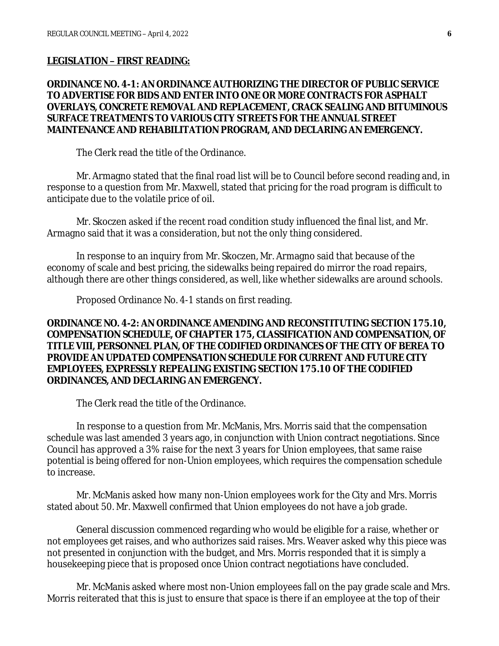#### **LEGISLATION – FIRST READING:**

## **ORDINANCE NO. 4-1: AN ORDINANCE AUTHORIZING THE DIRECTOR OF PUBLIC SERVICE TO ADVERTISE FOR BIDS AND ENTER INTO ONE OR MORE CONTRACTS FOR ASPHALT OVERLAYS, CONCRETE REMOVAL AND REPLACEMENT, CRACK SEALING AND BITUMINOUS SURFACE TREATMENTS TO VARIOUS CITY STREETS FOR THE ANNUAL STREET MAINTENANCE AND REHABILITATION PROGRAM, AND DECLARING AN EMERGENCY.**

The Clerk read the title of the Ordinance.

Mr. Armagno stated that the final road list will be to Council before second reading and, in response to a question from Mr. Maxwell, stated that pricing for the road program is difficult to anticipate due to the volatile price of oil.

Mr. Skoczen asked if the recent road condition study influenced the final list, and Mr. Armagno said that it was a consideration, but not the only thing considered.

In response to an inquiry from Mr. Skoczen, Mr. Armagno said that because of the economy of scale and best pricing, the sidewalks being repaired do mirror the road repairs, although there are other things considered, as well, like whether sidewalks are around schools.

Proposed Ordinance No. 4-1 stands on first reading.

## **ORDINANCE NO. 4-2: AN ORDINANCE AMENDING AND RECONSTITUTING SECTION 175.10, COMPENSATION SCHEDULE, OF CHAPTER 175, CLASSIFICATION AND COMPENSATION, OF TITLE VIII, PERSONNEL PLAN, OF THE CODIFIED ORDINANCES OF THE CITY OF BEREA TO PROVIDE AN UPDATED COMPENSATION SCHEDULE FOR CURRENT AND FUTURE CITY EMPLOYEES, EXPRESSLY REPEALING EXISTING SECTION 175.10 OF THE CODIFIED ORDINANCES, AND DECLARING AN EMERGENCY.**

The Clerk read the title of the Ordinance.

In response to a question from Mr. McManis, Mrs. Morris said that the compensation schedule was last amended 3 years ago, in conjunction with Union contract negotiations. Since Council has approved a 3% raise for the next 3 years for Union employees, that same raise potential is being offered for non-Union employees, which requires the compensation schedule to increase.

Mr. McManis asked how many non-Union employees work for the City and Mrs. Morris stated about 50. Mr. Maxwell confirmed that Union employees do not have a job grade.

General discussion commenced regarding who would be eligible for a raise, whether or not employees get raises, and who authorizes said raises. Mrs. Weaver asked why this piece was not presented in conjunction with the budget, and Mrs. Morris responded that it is simply a housekeeping piece that is proposed once Union contract negotiations have concluded.

Mr. McManis asked where most non-Union employees fall on the pay grade scale and Mrs. Morris reiterated that this is just to ensure that space is there if an employee at the top of their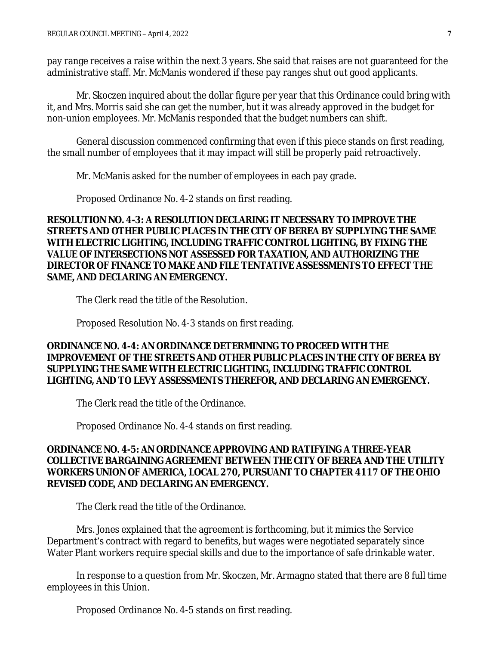pay range receives a raise within the next 3 years. She said that raises are not guaranteed for the administrative staff. Mr. McManis wondered if these pay ranges shut out good applicants.

Mr. Skoczen inquired about the dollar figure per year that this Ordinance could bring with it, and Mrs. Morris said she can get the number, but it was already approved in the budget for non-union employees. Mr. McManis responded that the budget numbers can shift.

General discussion commenced confirming that even if this piece stands on first reading, the small number of employees that it may impact will still be properly paid retroactively.

Mr. McManis asked for the number of employees in each pay grade.

Proposed Ordinance No. 4-2 stands on first reading.

**RESOLUTION NO. 4-3: A RESOLUTION DECLARING IT NECESSARY TO IMPROVE THE STREETS AND OTHER PUBLIC PLACES IN THE CITY OF BEREA BY SUPPLYING THE SAME WITH ELECTRIC LIGHTING, INCLUDING TRAFFIC CONTROL LIGHTING, BY FIXING THE VALUE OF INTERSECTIONS NOT ASSESSED FOR TAXATION, AND AUTHORIZING THE DIRECTOR OF FINANCE TO MAKE AND FILE TENTATIVE ASSESSMENTS TO EFFECT THE SAME, AND DECLARING AN EMERGENCY.**

The Clerk read the title of the Resolution.

Proposed Resolution No. 4-3 stands on first reading.

**ORDINANCE NO. 4-4: AN ORDINANCE DETERMINING TO PROCEED WITH THE IMPROVEMENT OF THE STREETS AND OTHER PUBLIC PLACES IN THE CITY OF BEREA BY SUPPLYING THE SAME WITH ELECTRIC LIGHTING, INCLUDING TRAFFIC CONTROL LIGHTING, AND TO LEVY ASSESSMENTS THEREFOR, AND DECLARING AN EMERGENCY.**

The Clerk read the title of the Ordinance.

Proposed Ordinance No. 4-4 stands on first reading.

## **ORDINANCE NO. 4-5: AN ORDINANCE APPROVING AND RATIFYING A THREE-YEAR COLLECTIVE BARGAINING AGREEMENT BETWEEN THE CITY OF BEREA AND THE UTILITY WORKERS UNION OF AMERICA, LOCAL 270, PURSUANT TO CHAPTER 4117 OF THE OHIO REVISED CODE, AND DECLARING AN EMERGENCY.**

The Clerk read the title of the Ordinance.

Mrs. Jones explained that the agreement is forthcoming, but it mimics the Service Department's contract with regard to benefits, but wages were negotiated separately since Water Plant workers require special skills and due to the importance of safe drinkable water.

In response to a question from Mr. Skoczen, Mr. Armagno stated that there are 8 full time employees in this Union.

Proposed Ordinance No. 4-5 stands on first reading.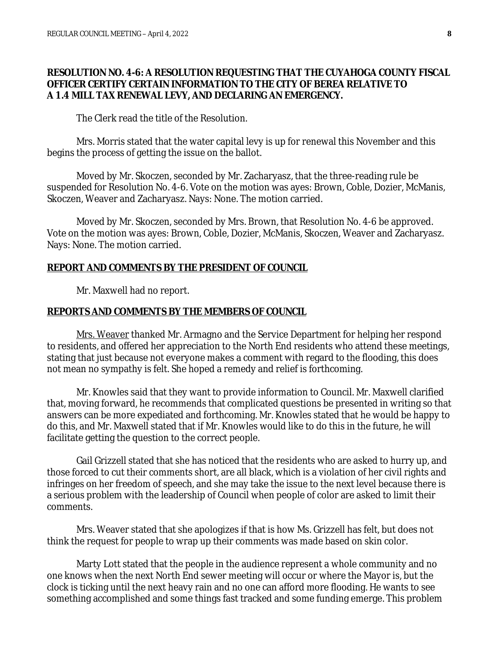## **RESOLUTION NO. 4-6: A RESOLUTION REQUESTING THAT THE CUYAHOGA COUNTY FISCAL OFFICER CERTIFY CERTAIN INFORMATION TO THE CITY OF BEREA RELATIVE TO A 1.4 MILL TAX RENEWAL LEVY, AND DECLARING AN EMERGENCY.**

The Clerk read the title of the Resolution.

Mrs. Morris stated that the water capital levy is up for renewal this November and this begins the process of getting the issue on the ballot.

Moved by Mr. Skoczen, seconded by Mr. Zacharyasz, that the three-reading rule be suspended for Resolution No. 4-6. Vote on the motion was ayes: Brown, Coble, Dozier, McManis, Skoczen, Weaver and Zacharyasz. Nays: None. The motion carried.

Moved by Mr. Skoczen, seconded by Mrs. Brown, that Resolution No. 4-6 be approved. Vote on the motion was ayes: Brown, Coble, Dozier, McManis, Skoczen, Weaver and Zacharyasz. Nays: None. The motion carried.

#### **REPORT AND COMMENTS BY THE PRESIDENT OF COUNCIL**

Mr. Maxwell had no report.

## **REPORTS AND COMMENTS BY THE MEMBERS OF COUNCIL**

Mrs. Weaver thanked Mr. Armagno and the Service Department for helping her respond to residents, and offered her appreciation to the North End residents who attend these meetings, stating that just because not everyone makes a comment with regard to the flooding, this does not mean no sympathy is felt. She hoped a remedy and relief is forthcoming.

Mr. Knowles said that they want to provide information to Council. Mr. Maxwell clarified that, moving forward, he recommends that complicated questions be presented in writing so that answers can be more expediated and forthcoming. Mr. Knowles stated that he would be happy to do this, and Mr. Maxwell stated that if Mr. Knowles would like to do this in the future, he will facilitate getting the question to the correct people.

Gail Grizzell stated that she has noticed that the residents who are asked to hurry up, and those forced to cut their comments short, are all black, which is a violation of her civil rights and infringes on her freedom of speech, and she may take the issue to the next level because there is a serious problem with the leadership of Council when people of color are asked to limit their comments.

Mrs. Weaver stated that she apologizes if that is how Ms. Grizzell has felt, but does not think the request for people to wrap up their comments was made based on skin color.

Marty Lott stated that the people in the audience represent a whole community and no one knows when the next North End sewer meeting will occur or where the Mayor is, but the clock is ticking until the next heavy rain and no one can afford more flooding. He wants to see something accomplished and some things fast tracked and some funding emerge. This problem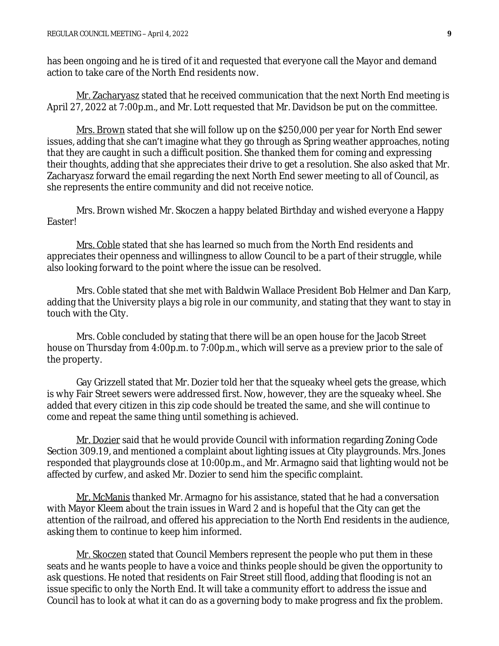has been ongoing and he is tired of it and requested that everyone call the Mayor and demand action to take care of the North End residents now.

Mr. Zacharyasz stated that he received communication that the next North End meeting is April 27, 2022 at 7:00p.m., and Mr. Lott requested that Mr. Davidson be put on the committee.

Mrs. Brown stated that she will follow up on the \$250,000 per year for North End sewer issues, adding that she can't imagine what they go through as Spring weather approaches, noting that they are caught in such a difficult position. She thanked them for coming and expressing their thoughts, adding that she appreciates their drive to get a resolution. She also asked that Mr. Zacharyasz forward the email regarding the next North End sewer meeting to all of Council, as she represents the entire community and did not receive notice.

Mrs. Brown wished Mr. Skoczen a happy belated Birthday and wished everyone a Happy Easter!

Mrs. Coble stated that she has learned so much from the North End residents and appreciates their openness and willingness to allow Council to be a part of their struggle, while also looking forward to the point where the issue can be resolved.

Mrs. Coble stated that she met with Baldwin Wallace President Bob Helmer and Dan Karp, adding that the University plays a big role in our community, and stating that they want to stay in touch with the City.

Mrs. Coble concluded by stating that there will be an open house for the Jacob Street house on Thursday from 4:00p.m. to 7:00p.m., which will serve as a preview prior to the sale of the property.

Gay Grizzell stated that Mr. Dozier told her that the squeaky wheel gets the grease, which is why Fair Street sewers were addressed first. Now, however, they are the squeaky wheel. She added that every citizen in this zip code should be treated the same, and she will continue to come and repeat the same thing until something is achieved.

Mr. Dozier said that he would provide Council with information regarding Zoning Code Section 309.19, and mentioned a complaint about lighting issues at City playgrounds. Mrs. Jones responded that playgrounds close at 10:00p.m., and Mr. Armagno said that lighting would not be affected by curfew, and asked Mr. Dozier to send him the specific complaint.

Mr. McManis thanked Mr. Armagno for his assistance, stated that he had a conversation with Mayor Kleem about the train issues in Ward 2 and is hopeful that the City can get the attention of the railroad, and offered his appreciation to the North End residents in the audience, asking them to continue to keep him informed.

Mr. Skoczen stated that Council Members represent the people who put them in these seats and he wants people to have a voice and thinks people should be given the opportunity to ask questions. He noted that residents on Fair Street still flood, adding that flooding is not an issue specific to only the North End. It will take a community effort to address the issue and Council has to look at what it can do as a governing body to make progress and fix the problem.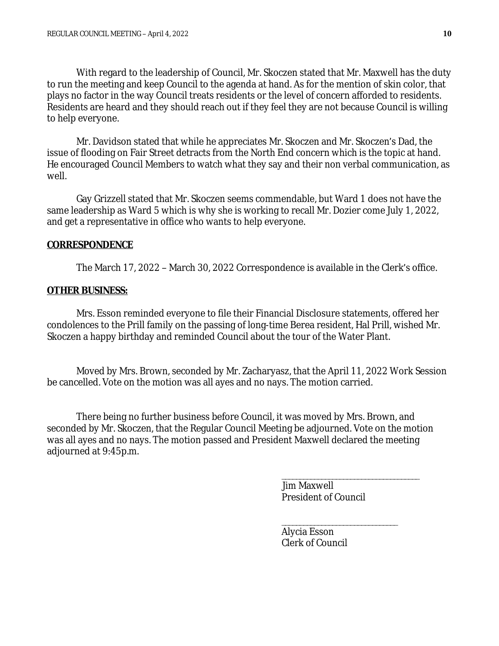With regard to the leadership of Council, Mr. Skoczen stated that Mr. Maxwell has the duty to run the meeting and keep Council to the agenda at hand. As for the mention of skin color, that plays no factor in the way Council treats residents or the level of concern afforded to residents. Residents are heard and they should reach out if they feel they are not because Council is willing to help everyone.

Mr. Davidson stated that while he appreciates Mr. Skoczen and Mr. Skoczen's Dad, the issue of flooding on Fair Street detracts from the North End concern which is the topic at hand. He encouraged Council Members to watch what they say and their non verbal communication, as well.

Gay Grizzell stated that Mr. Skoczen seems commendable, but Ward 1 does not have the same leadership as Ward 5 which is why she is working to recall Mr. Dozier come July 1, 2022, and get a representative in office who wants to help everyone.

### **CORRESPONDENCE**

The March 17, 2022 – March 30, 2022 Correspondence is available in the Clerk's office.

#### **OTHER BUSINESS:**

Mrs. Esson reminded everyone to file their Financial Disclosure statements, offered her condolences to the Prill family on the passing of long-time Berea resident, Hal Prill, wished Mr. Skoczen a happy birthday and reminded Council about the tour of the Water Plant.

Moved by Mrs. Brown, seconded by Mr. Zacharyasz, that the April 11, 2022 Work Session be cancelled. Vote on the motion was all ayes and no nays. The motion carried.

There being no further business before Council, it was moved by Mrs. Brown, and seconded by Mr. Skoczen, that the Regular Council Meeting be adjourned. Vote on the motion was all ayes and no nays. The motion passed and President Maxwell declared the meeting adjourned at 9:45p.m.

> \_\_\_\_\_\_\_\_\_\_\_\_\_\_\_\_\_\_\_\_\_\_\_\_\_\_\_\_\_\_\_\_\_\_\_\_\_\_ Jim Maxwell President of Council

\_\_\_\_\_\_\_\_\_\_\_\_\_\_\_\_\_\_\_\_\_\_\_\_\_\_\_\_\_\_\_\_

Alycia Esson Clerk of Council